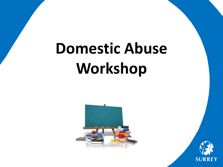# **Domestic Abuse Workshop**



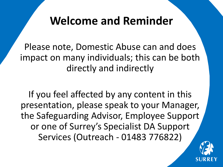### **Welcome and Reminder**

Please note, Domestic Abuse can and does impact on many individuals; this can be both directly and indirectly

If you feel affected by any content in this presentation, please speak to your Manager, the Safeguarding Advisor, Employee Support or one of Surrey's Specialist DA Support Services (Outreach - 01483 776822)

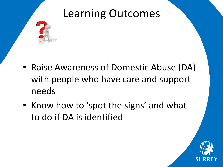

- Raise Awareness of Domestic Abuse (DA) with people who have care and support needs
- Know how to 'spot the signs' and what to do if DA is identified

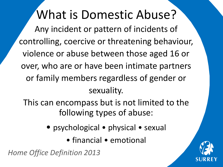### What is Domestic Abuse?

Any incident or pattern of incidents of controlling, coercive or threatening behaviour, violence or abuse between those aged 16 or over, who are or have been intimate partners or family members regardless of gender or sexuality.

This can encompass but is not limited to the following types of abuse:

- psychological physical sexual
	- financial emotional

*Home Office Definition 2013*

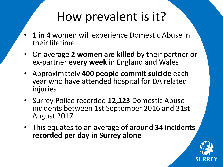## How prevalent is it?

- 1 in 4 women will experience Domestic Abuse in their lifetime
- On average **2 women are killed** by their partner or ex-partner **every week** in England and Wales
- Approximately **400 people commit suicide** each year who have attended hospital for DA related injuries
- Surrey Police recorded **12,123** Domestic Abuse incidents between 1st September 2016 and 31st August 2017
- This equates to an average of around **34 incidents recorded per day in Surrey alone**

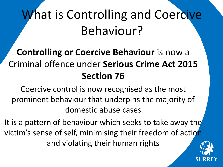# What is Controlling and Coercive Behaviour?

### **Controlling or Coercive Behaviour** is now a Criminal offence under **Serious Crime Act 2015 Section 76**

Coercive control is now recognised as the most prominent behaviour that underpins the majority of domestic abuse cases

It is a pattern of behaviour which seeks to take away the victim's sense of self, minimising their freedom of action and violating their human rights

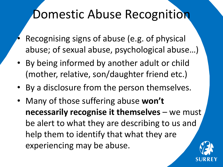## Domestic Abuse Recognition

- Recognising signs of abuse (e.g. of physical abuse; of sexual abuse, psychological abuse…)
- By being informed by another adult or child (mother, relative, son/daughter friend etc.)
- By a disclosure from the person themselves.
- Many of those suffering abuse **won't necessarily recognise it themselves** – we must be alert to what they are describing to us and help them to identify that what they are experiencing may be abuse.

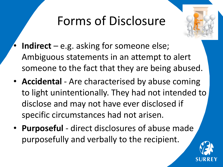# Forms of Disclosure



- **Indirect** e.g. asking for someone else; Ambiguous statements in an attempt to alert someone to the fact that they are being abused.
- **Accidental** Are characterised by abuse coming to light unintentionally. They had not intended to disclose and may not have ever disclosed if specific circumstances had not arisen.
- **Purposeful**  direct disclosures of abuse made purposefully and verbally to the recipient.

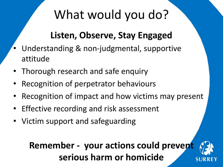# What would you do?

### **Listen, Observe, Stay Engaged**

- Understanding & non-judgmental, supportive attitude
- Thorough research and safe enquiry
- Recognition of perpetrator behaviours
- Recognition of impact and how victims may present
- Effective recording and risk assessment
- Victim support and safeguarding

### **Remember - your actions could prevent serious harm or homicide**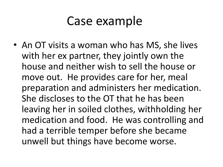• An OT visits a woman who has MS, she lives with her ex partner, they jointly own the house and neither wish to sell the house or move out. He provides care for her, meal preparation and administers her medication. She discloses to the OT that he has been leaving her in soiled clothes, withholding her medication and food. He was controlling and had a terrible temper before she became unwell but things have become worse.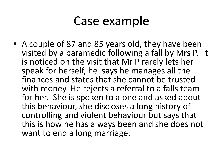• A couple of 87 and 85 years old, they have been visited by a paramedic following a fall by Mrs P. It is noticed on the visit that Mr P rarely lets her speak for herself, he says he manages all the finances and states that she cannot be trusted with money. He rejects a referral to a falls team for her. She is spoken to alone and asked about this behaviour, she discloses a long history of controlling and violent behaviour but says that this is how he has always been and she does not want to end a long marriage.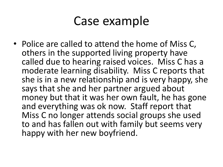• Police are called to attend the home of Miss C, others in the supported living property have called due to hearing raised voices. Miss C has a moderate learning disability. Miss C reports that she is in a new relationship and is very happy, she says that she and her partner argued about money but that it was her own fault, he has gone and everything was ok now. Staff report that Miss C no longer attends social groups she used to and has fallen out with family but seems very happy with her new boyfriend.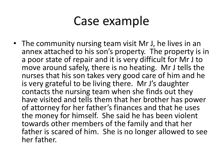• The community nursing team visit Mr J, he lives in an annex attached to his son's property. The property is in a poor state of repair and it is very difficult for Mr J to move around safely, there is no heating. Mr J tells the nurses that his son takes very good care of him and he is very grateful to be living there. Mr J's daughter contacts the nursing team when she finds out they have visited and tells them that her brother has power of attorney for her father's finances and that he uses the money for himself. She said he has been violent towards other members of the family and that her father is scared of him. She is no longer allowed to see her father.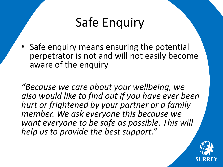### Safe Enquiry

• Safe enquiry means ensuring the potential perpetrator is not and will not easily become aware of the enquiry

*"Because we care about your wellbeing, we also would like to find out if you have ever been hurt or frightened by your partner or a family member. We ask everyone this because we want everyone to be safe as possible. This will help us to provide the best support."* 

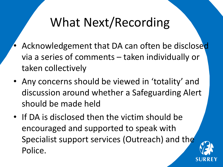# What Next/Recording

- Acknowledgement that DA can often be disclosed via a series of comments – taken individually or taken collectively
- Any concerns should be viewed in 'totality' and discussion around whether a Safeguarding Alert should be made held
- If DA is disclosed then the victim should be encouraged and supported to speak with Specialist support services (Outreach) and the Police.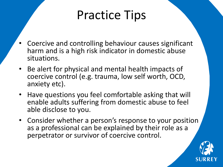## Practice Tips

- Coercive and controlling behaviour causes significant harm and is a high risk indicator in domestic abuse situations.
- Be alert for physical and mental health impacts of coercive control (e.g. trauma, low self worth, OCD, anxiety etc).
- Have questions you feel comfortable asking that will enable adults suffering from domestic abuse to feel able disclose to you.
- Consider whether a person's response to your position as a professional can be explained by their role as a perpetrator or survivor of coercive control.

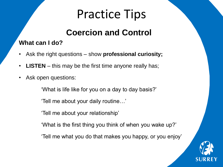# Practice Tips

### **Coercion and Control**

#### **What can I do?**

- Ask the right questions show **professional curiosity;**
- **LISTEN** this may be the first time anyone really has;
- Ask open questions:

'What is life like for you on a day to day basis?'

'Tell me about your daily routine…'

'Tell me about your relationship'

'What is the first thing you think of when you wake up?'

'Tell me what you do that makes you happy, or you enjoy'

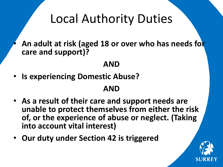### Local Authority Duties

• **An adult at risk (aged 18 or over who has needs for care and support)?** 

#### **AND**

• **Is experiencing Domestic Abuse?** 

#### **AND**

- **As a result of their care and support needs are unable to protect themselves from either the risk of, or the experience of abuse or neglect. (Taking into account vital interest)**
- **Our duty under Section 42 is triggered**

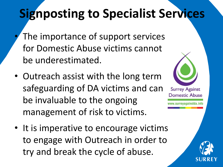# **Signposting to Specialist Services**

- The importance of support services for Domestic Abuse victims cannot be underestimated.
- Outreach assist with the long term safeguarding of DA victims and can be invaluable to the ongoing management of risk to victims.
- It is imperative to encourage victims to engage with Outreach in order to try and break the cycle of abuse.



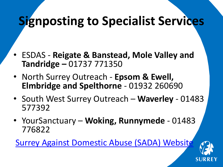# **Signposting to Specialist Services**

- ESDAS **Reigate & Banstead, Mole Valley and Tandridge –** 01737 771350
- North Surrey Outreach **Epsom & Ewell, Elmbridge and Spelthorne** - 01932 260690
- South West Surrey Outreach **Waverley** 01483 577392
- YourSanctuary **Woking, Runnymede**  01483 776822

[Surrey Against Domestic Abuse \(SADA\) Website](http://www.surreyagainstda.info/)

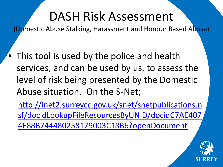## DASH Risk Assessment

(Domestic Abuse Stalking, Harassment and Honour Based Abuse)

• This tool is used by the police and health services, and can be used by us, to assess the level of risk being presented by the Domestic Abuse situation. On the S-Net;

http://inet2.surreycc.gov.uk/snet/snetpublications.n [sf/docidLookupFileResourcesByUNID/docidC7AE407](http://inet2.surreycc.gov.uk/snet/snetpublications.nsf/docidLookupFileResourcesByUNID/docidC7AE4074E88B744480258179003C18B6?openDocument) 4E88B744480258179003C18B6?openDocument

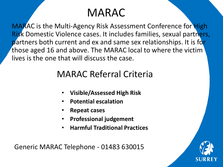### MARAC

MARAC is the Multi-Agency Risk Assessment Conference for High Risk Domestic Violence cases. It includes families, sexual partners, partners both current and ex and same sex relationships. It is for those aged 16 and above. The MARAC local to where the victim lives is the one that will discuss the case.

### MARAC Referral Criteria

- **Visible/Assessed High Risk**
- **Potential escalation**
- **Repeat cases**
- **Professional judgement**
- **Harmful Traditional Practices**

Generic MARAC Telephone - 01483 630015

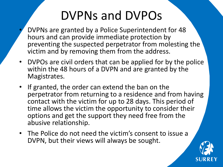# DVPNs and DVPOs

- DVPNs are granted by a Police Superintendent for 48 hours and can provide immediate protection by preventing the suspected perpetrator from molesting the victim and by removing them from the address.
- DVPOs are civil orders that can be applied for by the police within the 48 hours of a DVPN and are granted by the Magistrates.
- If granted, the order can extend the ban on the perpetrator from returning to a residence and from having contact with the victim for up to 28 days. This period of time allows the victim the opportunity to consider their options and get the support they need free from the abusive relationship.
- The Police do not need the victim's consent to issue a DVPN, but their views will always be sought.

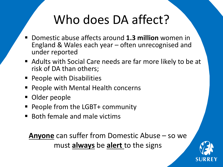# Who does DA affect?

- Domestic abuse affects around **1.3 million** women in England & Wales each year – often unrecognised and under reported
- Adults with Social Care needs are far more likely to be at risk of DA than others;
- **People with Disabilities**
- People with Mental Health concerns
- **Older people**
- People from the LGBT+ community
- Both female and male victims

**Anyone** can suffer from Domestic Abuse – so we must **always** be **alert** to the signs

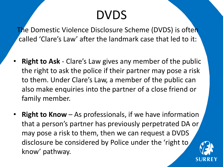## DVDS

The Domestic Violence Disclosure Scheme (DVDS) is often called 'Clare's Law' after the landmark case that led to it:

- **Right to Ask** Clare's Law gives any member of the public the right to ask the police if their partner may pose a risk to them. Under Clare's Law, a member of the public can also make enquiries into the partner of a close friend or family member.
- **Right to Know** As professionals, if we have information that a person's partner has previously perpetrated DA or may pose a risk to them, then we can request a DVDS disclosure be considered by Police under the 'right to know' pathway.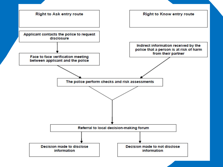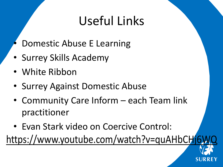# Useful Links

- Domestic Abuse E Learning
- Surrey Skills Academy
- White Ribbon
- Surrey Against Domestic Abuse
- Community Care Inform each Team link practitioner
- Evan Stark video on Coercive Control:

https://www.youtube.com/watch?v=quAHbCHi6